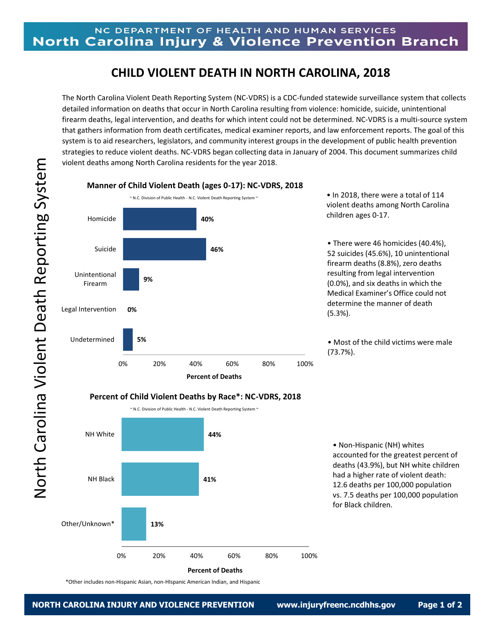## **CHILD VIOLENT DEATH IN NORTH CAROLINA, 2018**

The North Carolina Violent Death Reporting System (NC-VDRS) is a CDC-funded statewide surveillance system that collects detailed information on deaths that occur in North Carolina resulting from violence: homicide, suicide, unintentional firearm deaths, legal intervention, and deaths for which intent could not be determined. NC-VDRS is a multi-source system that gathers information from death certificates, medical examiner reports, and law enforcement reports. The goal of this system is to aid researchers, legislators, and community interest groups in the development of public health prevention strategies to reduce violent deaths. NC-VDRS began collecting data in January of 2004. This document summarizes child violent deaths among North Carolina residents for the year 2018.



**Manner of Child Violent Death (ages 0-17): NC-VDRS, 2018**

• In 2018, there were a total of 114 violent deaths among North Carolina children ages 0-17.

• There were 46 homicides (40.4%), 52 suicides (45.6%), 10 unintentional firearm deaths (8.8%), zero deaths resulting from legal intervention (0.0%), and six deaths in which the Medical Examiner's Office could not determine the manner of death (5.3%).

• Most of the child victims were male (73.7%).



**Percent of Deaths**

• Non-Hispanic (NH) whites accounted for the greatest percent of deaths (43.9%), but NH white children had a higher rate of violent death: 12.6 deaths per 100,000 population vs. 7.5 deaths per 100,000 population for Black children.

\*Other includes non-Hispanic Asian, non-HIspanic American Indian, and Hispanic